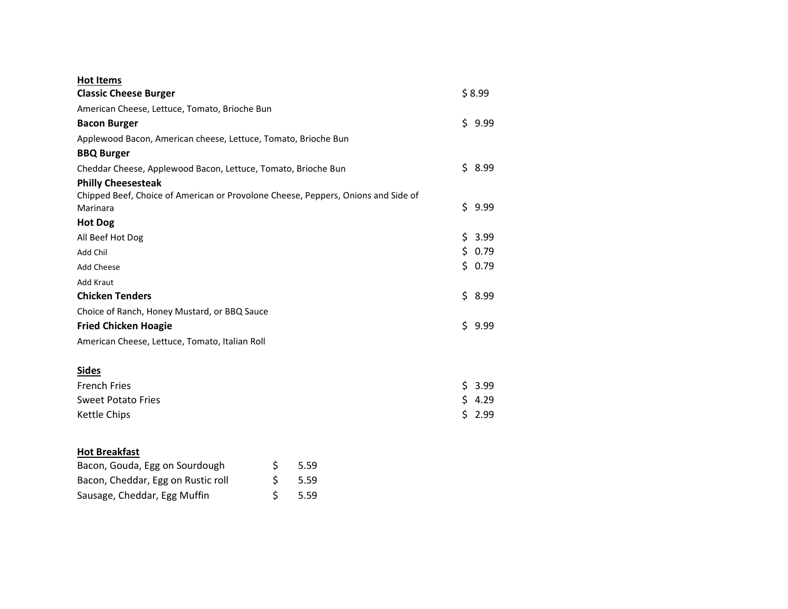| <b>Hot Items</b>                                                                  |            |     |        |
|-----------------------------------------------------------------------------------|------------|-----|--------|
| <b>Classic Cheese Burger</b>                                                      |            |     | \$8.99 |
| American Cheese, Lettuce, Tomato, Brioche Bun                                     |            |     |        |
| <b>Bacon Burger</b>                                                               |            |     | \$9.99 |
| Applewood Bacon, American cheese, Lettuce, Tomato, Brioche Bun                    |            |     |        |
| <b>BBQ Burger</b>                                                                 |            |     |        |
| Cheddar Cheese, Applewood Bacon, Lettuce, Tomato, Brioche Bun                     |            |     | \$8.99 |
| <b>Philly Cheesesteak</b>                                                         |            |     |        |
| Chipped Beef, Choice of American or Provolone Cheese, Peppers, Onions and Side of |            |     |        |
| Marinara                                                                          |            |     | \$9.99 |
| <b>Hot Dog</b>                                                                    |            |     |        |
| All Beef Hot Dog                                                                  |            |     | \$3.99 |
| Add Chil                                                                          |            |     | \$0.79 |
| <b>Add Cheese</b>                                                                 |            |     | \$0.79 |
| <b>Add Kraut</b>                                                                  |            |     |        |
| <b>Chicken Tenders</b>                                                            |            |     | \$8.99 |
| Choice of Ranch, Honey Mustard, or BBQ Sauce                                      |            |     |        |
| <b>Fried Chicken Hoagie</b>                                                       |            |     | \$9.99 |
| American Cheese, Lettuce, Tomato, Italian Roll                                    |            |     |        |
|                                                                                   |            |     |        |
| <b>Sides</b>                                                                      |            |     |        |
| <b>French Fries</b>                                                               |            |     | \$3.99 |
| <b>Sweet Potato Fries</b>                                                         |            |     | \$4.29 |
| Kettle Chips                                                                      |            | \$. | 2.99   |
|                                                                                   |            |     |        |
| <b>Hot Breakfast</b>                                                              |            |     |        |
| Bacon, Gouda, Egg on Sourdough                                                    | \$<br>5.59 |     |        |
| Bacon, Cheddar, Egg on Rustic roll                                                | \$<br>5.59 |     |        |
|                                                                                   |            |     |        |

Sausage, Cheddar, Egg Muffin  $\zeta$  5.59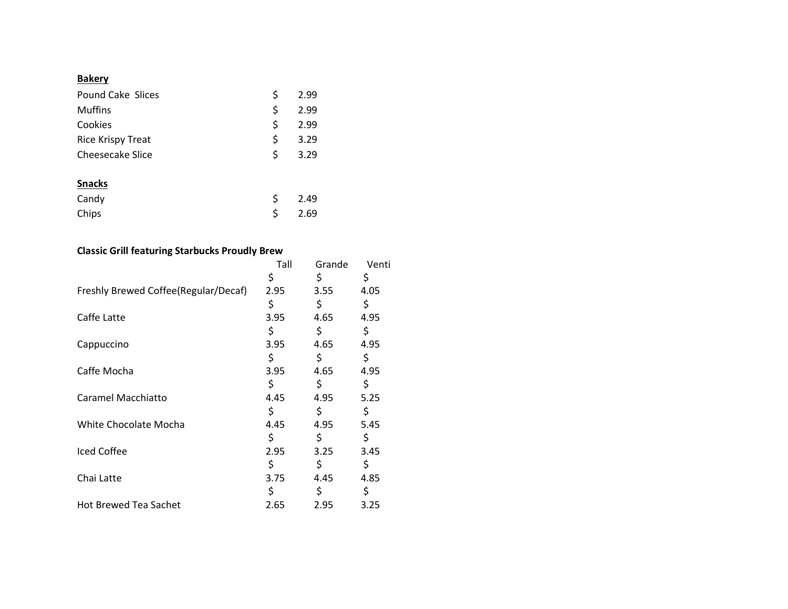## **Bakery**

| <b>Pound Cake Slices</b> | \$<br>2.99 |
|--------------------------|------------|
| <b>Muffins</b>           | \$<br>2.99 |
| Cookies                  | \$<br>2.99 |
| <b>Rice Krispy Treat</b> | \$<br>3.29 |
| Cheesecake Slice         | \$<br>3.29 |
| <b>Snacks</b>            |            |
| Candy                    | \$<br>2.49 |
| Chips                    | \$<br>2.69 |

## **Classic Grill featuring Starbucks Proudly Brew**

|                                      | Tall | Grande | Venti |
|--------------------------------------|------|--------|-------|
|                                      | \$   | \$     | \$    |
| Freshly Brewed Coffee(Regular/Decaf) | 2.95 | 3.55   | 4.05  |
|                                      | \$   | \$     | \$    |
| Caffe Latte                          | 3.95 | 4.65   | 4.95  |
|                                      | \$   | \$     | \$    |
| Cappuccino                           | 3.95 | 4.65   | 4.95  |
|                                      | \$   | \$     | \$    |
| Caffe Mocha                          | 3.95 | 4.65   | 4.95  |
|                                      | \$   | \$     | \$    |
| Caramel Macchiatto                   | 4.45 | 4.95   | 5.25  |
|                                      | \$   | \$     | \$    |
| White Chocolate Mocha                | 4.45 | 4.95   | 5.45  |
|                                      | \$   | \$     | \$    |
| Iced Coffee                          | 2.95 | 3.25   | 3.45  |
|                                      | \$   | \$     | \$    |
| Chai Latte                           | 3.75 | 4.45   | 4.85  |
|                                      | \$   | \$     | \$    |
| <b>Hot Brewed Tea Sachet</b>         | 2.65 | 2.95   | 3.25  |